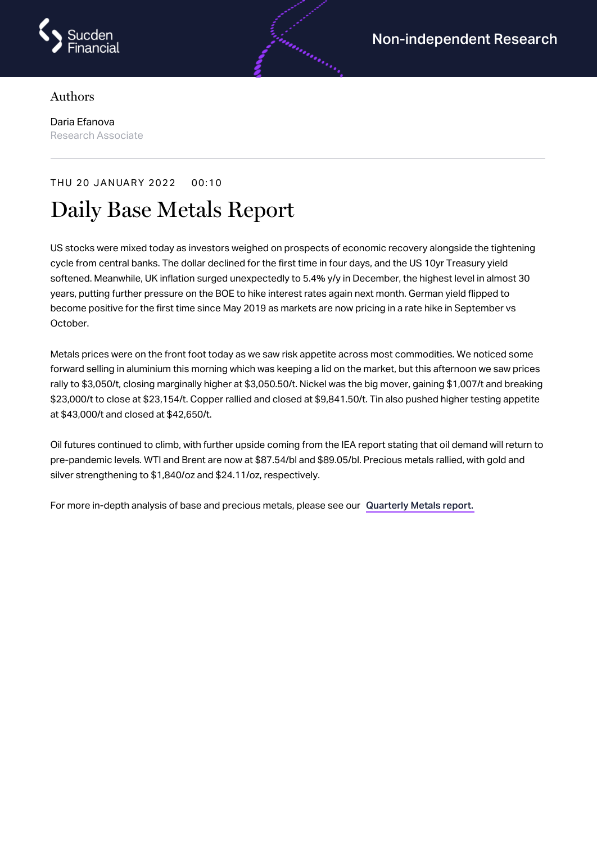

## Authors

Daria Efanova Research Associate

## THU 20 JANUARY 2022 00:10

## Daily Base Metals Report

US stocks were mixed today as investors weighed on prospects of economic recovery alongside the tightening cycle from central banks. The dollar declined for the first time in four days, and the US 10yr Treasury yield softened. Meanwhile, UK inflation surged unexpectedly to 5.4% y/y in December, the highest level in almost 30 years, putting further pressure on the BOE to hike interest rates again next month. German yield flipped to become positive for the first time since May 2019 as markets are now pricing in a rate hike in September vs October.

Metals prices were on the front foot today as we saw risk appetite across most commodities. We noticed some forward selling in aluminium this morning which was keeping a lid on the market, but this afternoon we saw prices rally to \$3,050/t, closing marginally higher at \$3,050.50/t. Nickel was the big mover, gaining \$1,007/t and breaking \$23,000/t to close at \$23,154/t. Copper rallied and closed at \$9,841.50/t. Tin also pushed higher testing appetite at \$43,000/t and closed at \$42,650/t.

Oil futures continued to climb, with further upside coming from the IEA report stating that oil demand will return to pre-pandemic levels. WTI and Brent are now at \$87.54/bl and \$89.05/bl. Precious metals rallied, with gold and silver strengthening to \$1,840/oz and \$24.11/oz, respectively.

For more in-depth analysis of base and precious metals, please see our [Quarterly](https://www.sucdenfinancial.com/en/reports/quarterly-metals/qmr-q4-2021/) Metals report.